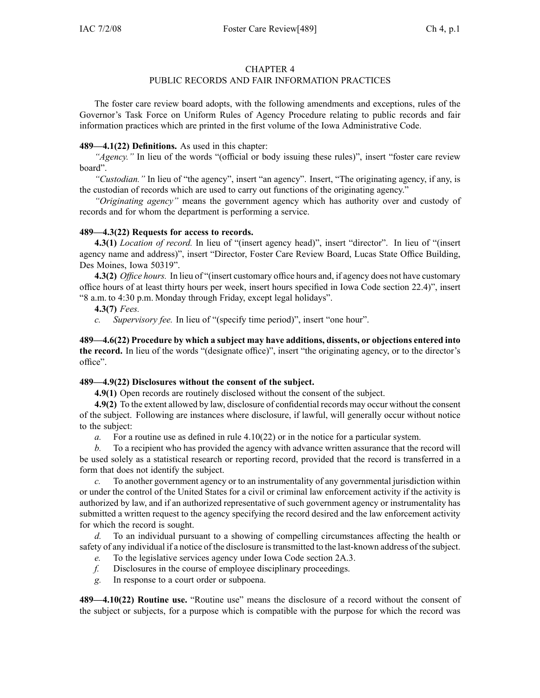#### CHAPTER 4

# PUBLIC RECORDS AND FAIR INFORMATION PRACTICES

The foster care review board adopts, with the following amendments and exceptions, rules of the Governor's Task Force on Uniform Rules of Agency Procedure relating to public records and fair information practices which are printed in the first volume of the Iowa Administrative Code.

### **489—4.1(22) Definitions.** As used in this chapter:

*"Agency."* In lieu of the words "(official or body issuing these rules)", insert "foster care review board".

*"Custodian."* In lieu of "the agency", insert "an agency". Insert, "The originating agency, if any, is the custodian of records which are used to carry out functions of the originating agency."

*"Originating agency"* means the governmen<sup>t</sup> agency which has authority over and custody of records and for whom the department is performing <sup>a</sup> service.

### **489—4.3(22) Requests for access to records.**

**4.3(1)** *Location of record.* In lieu of "(insert agency head)", insert "director". In lieu of "(insert agency name and address)", insert "Director, Foster Care Review Board, Lucas State Office Building, Des Moines, Iowa 50319".

**4.3(2)** *Office hours.* In lieu of "(insert customary office hours and, if agency does not have customary office hours of at least thirty hours per week, insert hours specified in Iowa Code section 22.4)", insert "8 a.m. to 4:30 p.m. Monday through Friday, excep<sup>t</sup> legal holidays".

**4.3(7)** *Fees.*

*c. Supervisory fee.* In lieu of "(specify time period)", insert "one hour".

**489—4.6(22) Procedure by which <sup>a</sup> subject may have additions, dissents, or objections entered into the record.** In lieu of the words "(designate office)", insert "the originating agency, or to the director's office".

## **489—4.9(22) Disclosures without the consent of the subject.**

**4.9(1)** Open records are routinely disclosed without the consent of the subject.

**4.9(2)** To the extent allowed by law, disclosure of confidential records may occur without the consent of the subject. Following are instances where disclosure, if lawful, will generally occur without notice to the subject:

*a.* For <sup>a</sup> routine use as defined in rule 4.10(22) or in the notice for <sup>a</sup> particular system.

*b.* To <sup>a</sup> recipient who has provided the agency with advance written assurance that the record will be used solely as <sup>a</sup> statistical research or reporting record, provided that the record is transferred in <sup>a</sup> form that does not identify the subject.

*c.* To another governmen<sup>t</sup> agency or to an instrumentality of any governmental jurisdiction within or under the control of the United States for <sup>a</sup> civil or criminal law enforcement activity if the activity is authorized by law, and if an authorized representative of such governmen<sup>t</sup> agency or instrumentality has submitted <sup>a</sup> written reques<sup>t</sup> to the agency specifying the record desired and the law enforcement activity for which the record is sought.

*d.* To an individual pursuan<sup>t</sup> to <sup>a</sup> showing of compelling circumstances affecting the health or safety of any individual if <sup>a</sup> notice of the disclosure istransmitted to the last-known address of the subject.

- *e.* To the legislative services agency under Iowa Code section 2A.3.
- *f.* Disclosures in the course of employee disciplinary proceedings.
- *g.* In response to <sup>a</sup> court order or subpoena.

**489—4.10(22) Routine use.** "Routine use" means the disclosure of <sup>a</sup> record without the consent of the subject or subjects, for <sup>a</sup> purpose which is compatible with the purpose for which the record was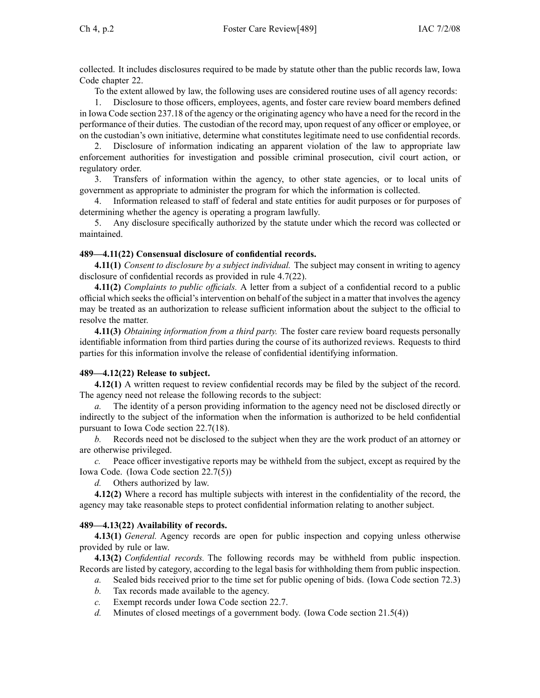collected. It includes disclosures required to be made by statute other than the public records law, Iowa Code chapter 22.

To the extent allowed by law, the following uses are considered routine uses of all agency records:

1. Disclosure to those officers, employees, agents, and foster care review board members defined in Iowa Code section 237.18 of the agency or the originating agency who have <sup>a</sup> need for the record in the performance of their duties. The custodian of the record may, upon reques<sup>t</sup> of any officer or employee, or on the custodian's own initiative, determine what constitutes legitimate need to use confidential records.

2. Disclosure of information indicating an apparen<sup>t</sup> violation of the law to appropriate law enforcement authorities for investigation and possible criminal prosecution, civil court action, or regulatory order.

3. Transfers of information within the agency, to other state agencies, or to local units of governmen<sup>t</sup> as appropriate to administer the program for which the information is collected.

4. Information released to staff of federal and state entities for audit purposes or for purposes of determining whether the agency is operating <sup>a</sup> program lawfully.

5. Any disclosure specifically authorized by the statute under which the record was collected or maintained.

### **489—4.11(22) Consensual disclosure of confidential records.**

**4.11(1)** *Consent to disclosure by <sup>a</sup> subject individual.* The subject may consent in writing to agency disclosure of confidential records as provided in rule 4.7(22).

**4.11(2)** *Complaints to public officials.* A letter from <sup>a</sup> subject of <sup>a</sup> confidential record to <sup>a</sup> public official which seeksthe official'sintervention on behalf of the subject in <sup>a</sup> matter that involvesthe agency may be treated as an authorization to release sufficient information about the subject to the official to resolve the matter.

**4.11(3)** *Obtaining information from <sup>a</sup> third party.* The foster care review board requests personally identifiable information from third parties during the course of its authorized reviews. Requests to third parties for this information involve the release of confidential identifying information.

#### **489—4.12(22) Release to subject.**

**4.12(1)** A written reques<sup>t</sup> to review confidential records may be filed by the subject of the record. The agency need not release the following records to the subject:

*a.* The identity of <sup>a</sup> person providing information to the agency need not be disclosed directly or indirectly to the subject of the information when the information is authorized to be held confidential pursuan<sup>t</sup> to Iowa Code section 22.7(18).

*b.* Records need not be disclosed to the subject when they are the work product of an attorney or are otherwise privileged.

*c.* Peace officer investigative reports may be withheld from the subject, excep<sup>t</sup> as required by the Iowa Code. (Iowa Code section 22.7(5))

*d.* Others authorized by law.

**4.12(2)** Where <sup>a</sup> record has multiple subjects with interest in the confidentiality of the record, the agency may take reasonable steps to protect confidential information relating to another subject.

## **489—4.13(22) Availability of records.**

**4.13(1)** *General.* Agency records are open for public inspection and copying unless otherwise provided by rule or law.

**4.13(2)** *Confidential records.* The following records may be withheld from public inspection. Records are listed by category, according to the legal basis for withholding them from public inspection.

- *a.* Sealed bids received prior to the time set for public opening of bids. (Iowa Code section 72.3)
- *b.* Tax records made available to the agency.
- *c.* Exempt records under Iowa Code section 22.7.
- *d.* Minutes of closed meetings of <sup>a</sup> governmen<sup>t</sup> body. (Iowa Code section 21.5(4))